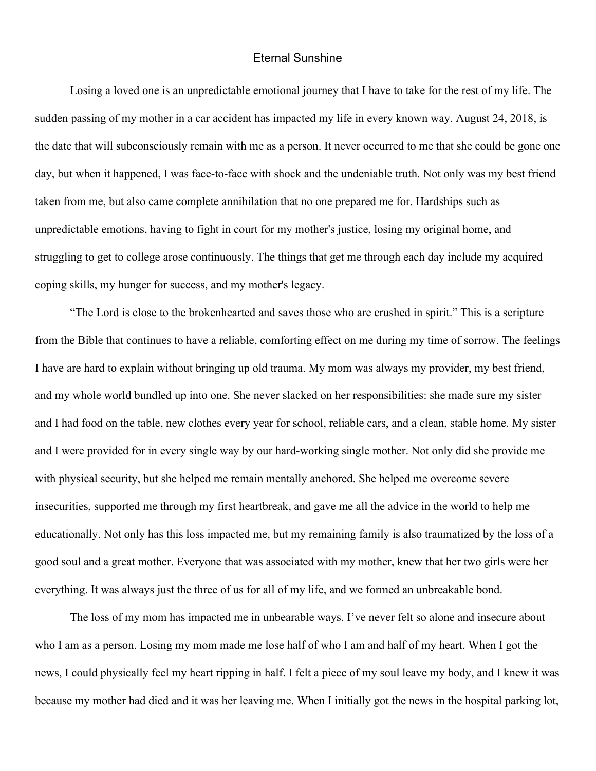## Eternal Sunshine

Losing a loved one is an unpredictable emotional journey that I have to take for the rest of my life. The sudden passing of my mother in a car accident has impacted my life in every known way. August 24, 2018, is the date that will subconsciously remain with me as a person. It never occurred to me that she could be gone one day, but when it happened, I was face-to-face with shock and the undeniable truth. Not only was my best friend taken from me, but also came complete annihilation that no one prepared me for. Hardships such as unpredictable emotions, having to fight in court for my mother's justice, losing my original home, and struggling to get to college arose continuously. The things that get me through each day include my acquired coping skills, my hunger for success, and my mother's legacy.

"The Lord is close to the brokenhearted and saves those who are crushed in spirit." This is a scripture from the Bible that continues to have a reliable, comforting effect on me during my time of sorrow. The feelings I have are hard to explain without bringing up old trauma. My mom was always my provider, my best friend, and my whole world bundled up into one. She never slacked on her responsibilities: she made sure my sister and I had food on the table, new clothes every year for school, reliable cars, and a clean, stable home. My sister and I were provided for in every single way by our hard-working single mother. Not only did she provide me with physical security, but she helped me remain mentally anchored. She helped me overcome severe insecurities, supported me through my first heartbreak, and gave me all the advice in the world to help me educationally. Not only has this loss impacted me, but my remaining family is also traumatized by the loss of a good soul and a great mother. Everyone that was associated with my mother, knew that her two girls were her everything. It was always just the three of us for all of my life, and we formed an unbreakable bond.

The loss of my mom has impacted me in unbearable ways. I've never felt so alone and insecure about who I am as a person. Losing my mom made me lose half of who I am and half of my heart. When I got the news, I could physically feel my heart ripping in half. I felt a piece of my soul leave my body, and I knew it was because my mother had died and it was her leaving me. When I initially got the news in the hospital parking lot,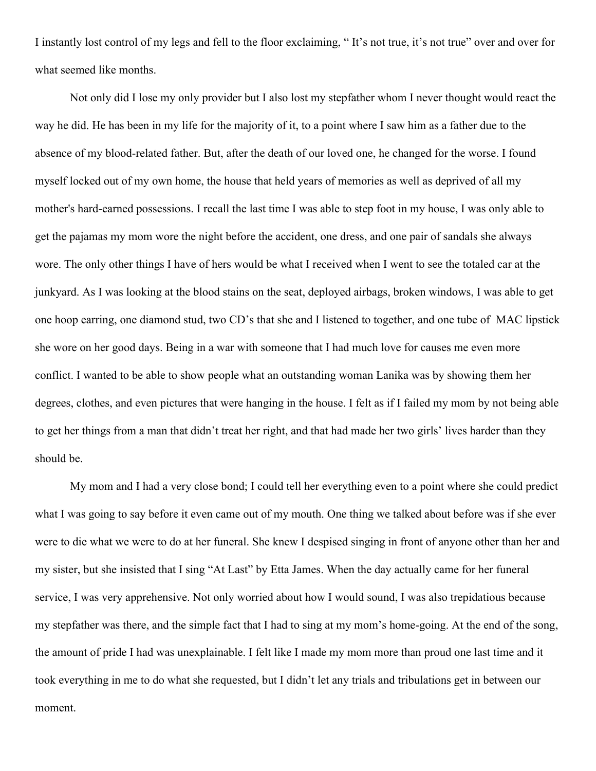I instantly lost control of my legs and fell to the floor exclaiming, " It's not true, it's not true" over and over for what seemed like months.

Not only did I lose my only provider but I also lost my stepfather whom I never thought would react the way he did. He has been in my life for the majority of it, to a point where I saw him as a father due to the absence of my blood-related father. But, after the death of our loved one, he changed for the worse. I found myself locked out of my own home, the house that held years of memories as well as deprived of all my mother's hard-earned possessions. I recall the last time I was able to step foot in my house, I was only able to get the pajamas my mom wore the night before the accident, one dress, and one pair of sandals she always wore. The only other things I have of hers would be what I received when I went to see the totaled car at the junkyard. As I was looking at the blood stains on the seat, deployed airbags, broken windows, I was able to get one hoop earring, one diamond stud, two CD's that she and I listened to together, and one tube of MAC lipstick she wore on her good days. Being in a war with someone that I had much love for causes me even more conflict. I wanted to be able to show people what an outstanding woman Lanika was by showing them her degrees, clothes, and even pictures that were hanging in the house. I felt as if I failed my mom by not being able to get her things from a man that didn't treat her right, and that had made her two girls' lives harder than they should be.

My mom and I had a very close bond; I could tell her everything even to a point where she could predict what I was going to say before it even came out of my mouth. One thing we talked about before was if she ever were to die what we were to do at her funeral. She knew I despised singing in front of anyone other than her and my sister, but she insisted that I sing "At Last" by Etta James. When the day actually came for her funeral service, I was very apprehensive. Not only worried about how I would sound, I was also trepidatious because my stepfather was there, and the simple fact that I had to sing at my mom's home-going. At the end of the song, the amount of pride I had was unexplainable. I felt like I made my mom more than proud one last time and it took everything in me to do what she requested, but I didn't let any trials and tribulations get in between our moment.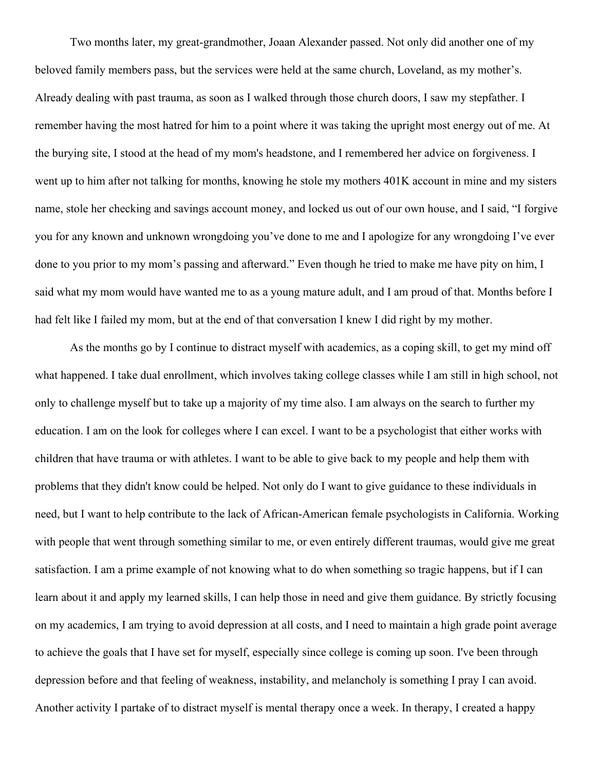Two months later, my great-grandmother, Joaan Alexander passed. Not only did another one of my beloved family members pass, but the services were held at the same church, Loveland, as my mother's. Already dealing with past trauma, as soon as I walked through those church doors, I saw my stepfather. I remember having the most hatred for him to a point where it was taking the upright most energy out of me. At the burying site, I stood at the head of my mom's headstone, and I remembered her advice on forgiveness. I went up to him after not talking for months, knowing he stole my mothers 401K account in mine and my sisters name, stole her checking and savings account money, and locked us out of our own house, and I said, "I forgive you for any known and unknown wrongdoing you've done to me and I apologize for any wrongdoing I've ever done to you prior to my mom's passing and afterward." Even though he tried to make me have pity on him, I said what my mom would have wanted me to as a young mature adult, and I am proud of that. Months before I had felt like I failed my mom, but at the end of that conversation I knew I did right by my mother.

As the months go by I continue to distract myself with academics, as a coping skill, to get my mind off what happened. I take dual enrollment, which involves taking college classes while I am still in high school, not only to challenge myself but to take up a majority of my time also. I am always on the search to further my education. I am on the look for colleges where I can excel. I want to be a psychologist that either works with children that have trauma or with athletes. I want to be able to give back to my people and help them with problems that they didn't know could be helped. Not only do I want to give guidance to these individuals in need, but I want to help contribute to the lack of African-American female psychologists in California. Working with people that went through something similar to me, or even entirely different traumas, would give me great satisfaction. I am a prime example of not knowing what to do when something so tragic happens, but if I can learn about it and apply my learned skills, I can help those in need and give them guidance. By strictly focusing on my academics, I am trying to avoid depression at all costs, and I need to maintain a high grade point average to achieve the goals that I have set for myself, especially since college is coming up soon. I've been through depression before and that feeling of weakness, instability, and melancholy is something I pray I can avoid. Another activity I partake of to distract myself is mental therapy once a week. In therapy, I created a happy